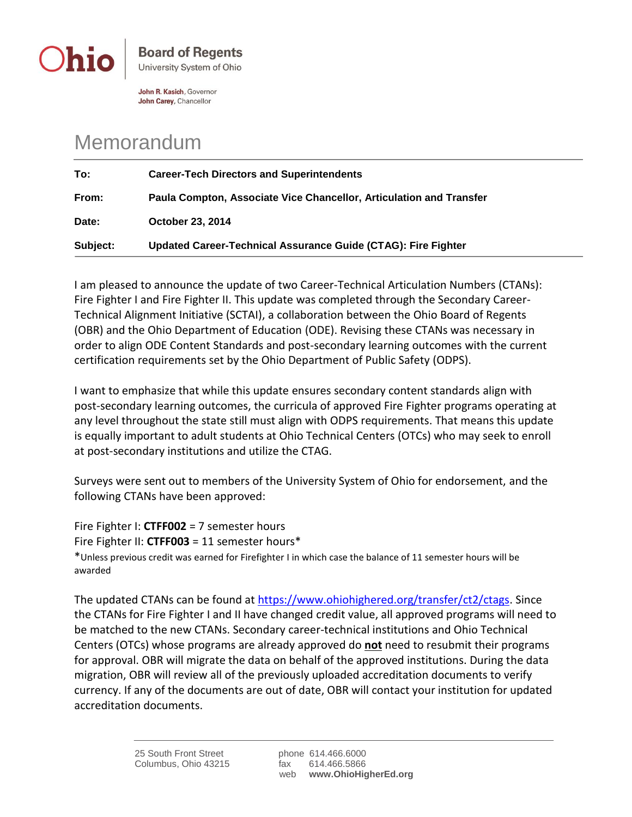

John R. Kasich, Governor John Carey, Chancellor

## Memorandum

| To:      | <b>Career-Tech Directors and Superintendents</b>                    |
|----------|---------------------------------------------------------------------|
| From:    | Paula Compton, Associate Vice Chancellor, Articulation and Transfer |
| Date:    | <b>October 23, 2014</b>                                             |
| Subject: | Updated Career-Technical Assurance Guide (CTAG): Fire Fighter       |

I am pleased to announce the update of two Career-Technical Articulation Numbers (CTANs): Fire Fighter I and Fire Fighter II. This update was completed through the Secondary Career-Technical Alignment Initiative (SCTAI), a collaboration between the Ohio Board of Regents (OBR) and the Ohio Department of Education (ODE). Revising these CTANs was necessary in order to align ODE Content Standards and post-secondary learning outcomes with the current certification requirements set by the Ohio Department of Public Safety (ODPS).

I want to emphasize that while this update ensures secondary content standards align with post-secondary learning outcomes, the curricula of approved Fire Fighter programs operating at any level throughout the state still must align with ODPS requirements. That means this update is equally important to adult students at Ohio Technical Centers (OTCs) who may seek to enroll at post-secondary institutions and utilize the CTAG.

Surveys were sent out to members of the University System of Ohio for endorsement, and the following CTANs have been approved:

Fire Fighter I: **CTFF002** = 7 semester hours Fire Fighter II: **CTFF003** = 11 semester hours\* \*Unless previous credit was earned for Firefighter I in which case the balance of 11 semester hours will be awarded

The updated CTANs can be found at [https://www.ohiohighered.org/transfer/ct2/ctags.](https://www.ohiohighered.org/transfer/ct2/ctags) Since the CTANs for Fire Fighter I and II have changed credit value, all approved programs will need to be matched to the new CTANs. Secondary career-technical institutions and Ohio Technical Centers (OTCs) whose programs are already approved do **not** need to resubmit their programs for approval. OBR will migrate the data on behalf of the approved institutions. During the data migration, OBR will review all of the previously uploaded accreditation documents to verify currency. If any of the documents are out of date, OBR will contact your institution for updated accreditation documents.